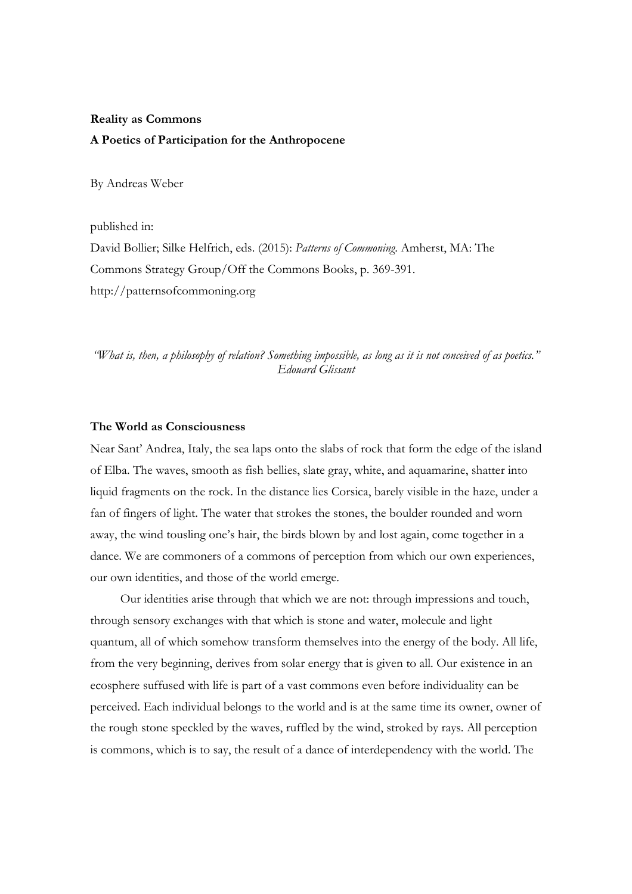# **Reality as Commons A Poetics of Participation for the Anthropocene**

By Andreas Weber

published in:

David Bollier; Silke Helfrich, eds. (2015): *Patterns of Commoning*. Amherst, MA: The Commons Strategy Group/Off the Commons Books, p. 369-391. http://patternsofcommoning.org

*"What is, then, a philosophy of relation? Something impossible, as long as it is not conceived of as poetics." Edouard Glissant*

### **The World as Consciousness**

Near Sant' Andrea, Italy, the sea laps onto the slabs of rock that form the edge of the island of Elba. The waves, smooth as fish bellies, slate gray, white, and aquamarine, shatter into liquid fragments on the rock. In the distance lies Corsica, barely visible in the haze, under a fan of fingers of light. The water that strokes the stones, the boulder rounded and worn away, the wind tousling one's hair, the birds blown by and lost again, come together in a dance. We are commoners of a commons of perception from which our own experiences, our own identities, and those of the world emerge.

Our identities arise through that which we are not: through impressions and touch, through sensory exchanges with that which is stone and water, molecule and light quantum, all of which somehow transform themselves into the energy of the body. All life, from the very beginning, derives from solar energy that is given to all. Our existence in an ecosphere suffused with life is part of a vast commons even before individuality can be perceived. Each individual belongs to the world and is at the same time its owner, owner of the rough stone speckled by the waves, ruffled by the wind, stroked by rays. All perception is commons, which is to say, the result of a dance of interdependency with the world. The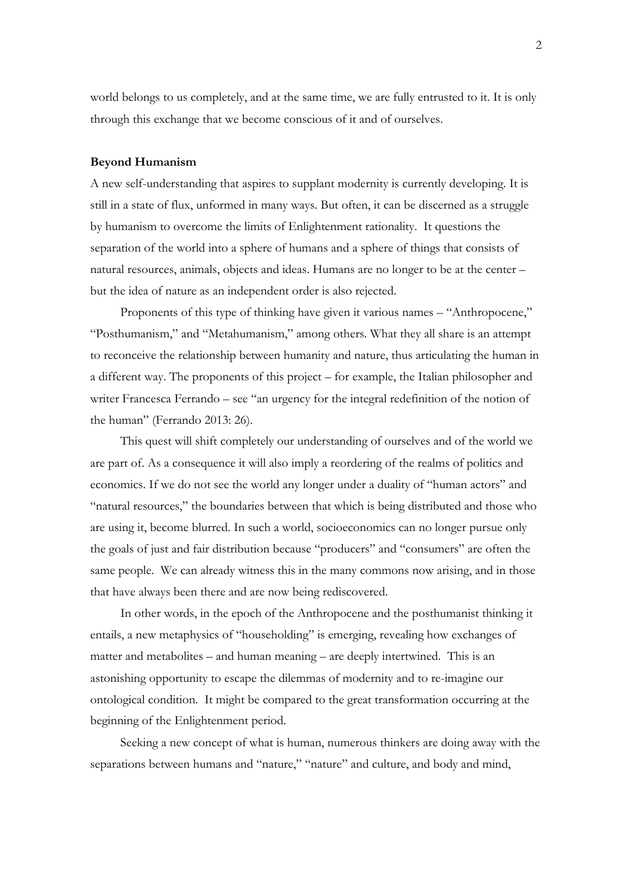world belongs to us completely, and at the same time, we are fully entrusted to it. It is only through this exchange that we become conscious of it and of ourselves.

#### **Beyond Humanism**

A new self-understanding that aspires to supplant modernity is currently developing. It is still in a state of flux, unformed in many ways. But often, it can be discerned as a struggle by humanism to overcome the limits of Enlightenment rationality. It questions the separation of the world into a sphere of humans and a sphere of things that consists of natural resources, animals, objects and ideas. Humans are no longer to be at the center – but the idea of nature as an independent order is also rejected.

Proponents of this type of thinking have given it various names – "Anthropocene," "Posthumanism," and "Metahumanism," among others. What they all share is an attempt to reconceive the relationship between humanity and nature, thus articulating the human in a different way. The proponents of this project – for example, the Italian philosopher and writer Francesca Ferrando – see "an urgency for the integral redefinition of the notion of the human" (Ferrando 2013: 26).

This quest will shift completely our understanding of ourselves and of the world we are part of. As a consequence it will also imply a reordering of the realms of politics and economics. If we do not see the world any longer under a duality of "human actors" and "natural resources," the boundaries between that which is being distributed and those who are using it, become blurred. In such a world, socioeconomics can no longer pursue only the goals of just and fair distribution because "producers" and "consumers" are often the same people. We can already witness this in the many commons now arising, and in those that have always been there and are now being rediscovered.

In other words, in the epoch of the Anthropocene and the posthumanist thinking it entails, a new metaphysics of "householding" is emerging, revealing how exchanges of matter and metabolites – and human meaning – are deeply intertwined. This is an astonishing opportunity to escape the dilemmas of modernity and to re-imagine our ontological condition. It might be compared to the great transformation occurring at the beginning of the Enlightenment period.

Seeking a new concept of what is human, numerous thinkers are doing away with the separations between humans and "nature," "nature" and culture, and body and mind,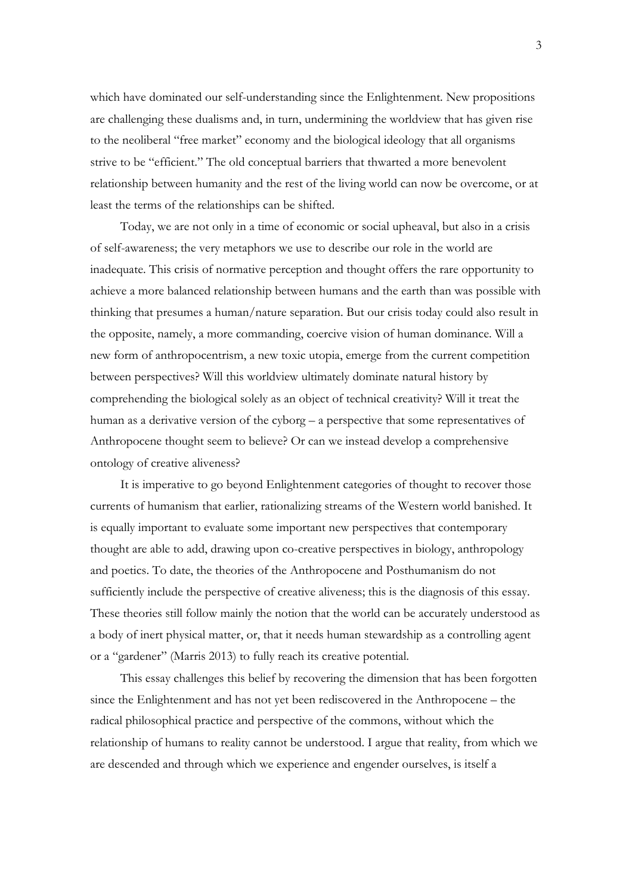which have dominated our self-understanding since the Enlightenment. New propositions are challenging these dualisms and, in turn, undermining the worldview that has given rise to the neoliberal "free market" economy and the biological ideology that all organisms strive to be "efficient." The old conceptual barriers that thwarted a more benevolent relationship between humanity and the rest of the living world can now be overcome, or at least the terms of the relationships can be shifted.

Today, we are not only in a time of economic or social upheaval, but also in a crisis of self-awareness; the very metaphors we use to describe our role in the world are inadequate. This crisis of normative perception and thought offers the rare opportunity to achieve a more balanced relationship between humans and the earth than was possible with thinking that presumes a human/nature separation. But our crisis today could also result in the opposite, namely, a more commanding, coercive vision of human dominance. Will a new form of anthropocentrism, a new toxic utopia, emerge from the current competition between perspectives? Will this worldview ultimately dominate natural history by comprehending the biological solely as an object of technical creativity? Will it treat the human as a derivative version of the cyborg – a perspective that some representatives of Anthropocene thought seem to believe? Or can we instead develop a comprehensive ontology of creative aliveness?

It is imperative to go beyond Enlightenment categories of thought to recover those currents of humanism that earlier, rationalizing streams of the Western world banished. It is equally important to evaluate some important new perspectives that contemporary thought are able to add, drawing upon co-creative perspectives in biology, anthropology and poetics. To date, the theories of the Anthropocene and Posthumanism do not sufficiently include the perspective of creative aliveness; this is the diagnosis of this essay. These theories still follow mainly the notion that the world can be accurately understood as a body of inert physical matter, or, that it needs human stewardship as a controlling agent or a "gardener" (Marris 2013) to fully reach its creative potential.

This essay challenges this belief by recovering the dimension that has been forgotten since the Enlightenment and has not yet been rediscovered in the Anthropocene – the radical philosophical practice and perspective of the commons, without which the relationship of humans to reality cannot be understood. I argue that reality, from which we are descended and through which we experience and engender ourselves, is itself a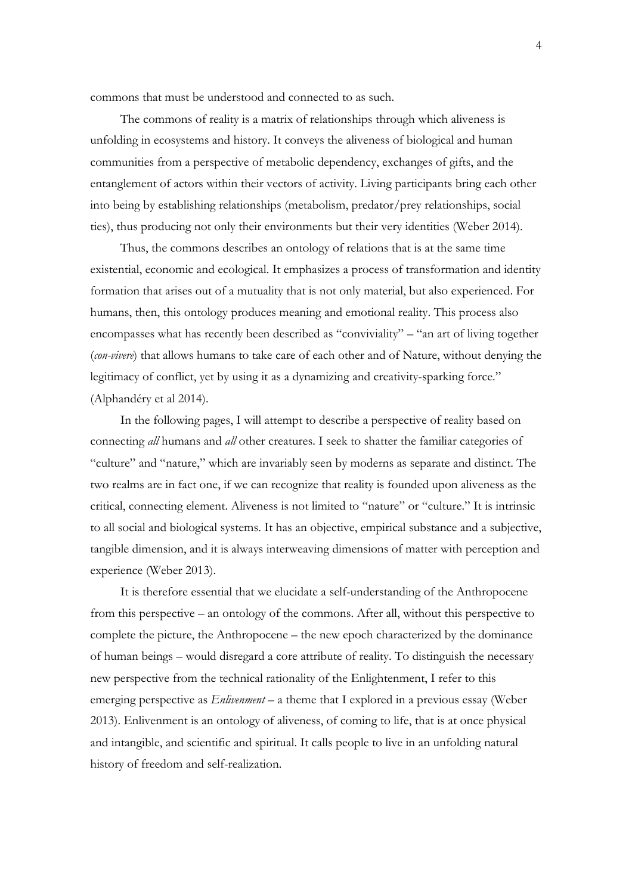commons that must be understood and connected to as such.

The commons of reality is a matrix of relationships through which aliveness is unfolding in ecosystems and history. It conveys the aliveness of biological and human communities from a perspective of metabolic dependency, exchanges of gifts, and the entanglement of actors within their vectors of activity. Living participants bring each other into being by establishing relationships (metabolism, predator/prey relationships, social ties), thus producing not only their environments but their very identities (Weber 2014).

Thus, the commons describes an ontology of relations that is at the same time existential, economic and ecological. It emphasizes a process of transformation and identity formation that arises out of a mutuality that is not only material, but also experienced. For humans, then, this ontology produces meaning and emotional reality. This process also encompasses what has recently been described as "conviviality" – "an art of living together (*con-vivere*) that allows humans to take care of each other and of Nature, without denying the legitimacy of conflict, yet by using it as a dynamizing and creativity-sparking force." (Alphandéry et al 2014).

In the following pages, I will attempt to describe a perspective of reality based on connecting *all* humans and *all* other creatures. I seek to shatter the familiar categories of "culture" and "nature," which are invariably seen by moderns as separate and distinct. The two realms are in fact one, if we can recognize that reality is founded upon aliveness as the critical, connecting element. Aliveness is not limited to "nature" or "culture." It is intrinsic to all social and biological systems. It has an objective, empirical substance and a subjective, tangible dimension, and it is always interweaving dimensions of matter with perception and experience (Weber 2013).

It is therefore essential that we elucidate a self-understanding of the Anthropocene from this perspective – an ontology of the commons. After all, without this perspective to complete the picture, the Anthropocene – the new epoch characterized by the dominance of human beings – would disregard a core attribute of reality. To distinguish the necessary new perspective from the technical rationality of the Enlightenment, I refer to this emerging perspective as *Enlivenment* – a theme that I explored in a previous essay (Weber 2013). Enlivenment is an ontology of aliveness, of coming to life, that is at once physical and intangible, and scientific and spiritual. It calls people to live in an unfolding natural history of freedom and self-realization.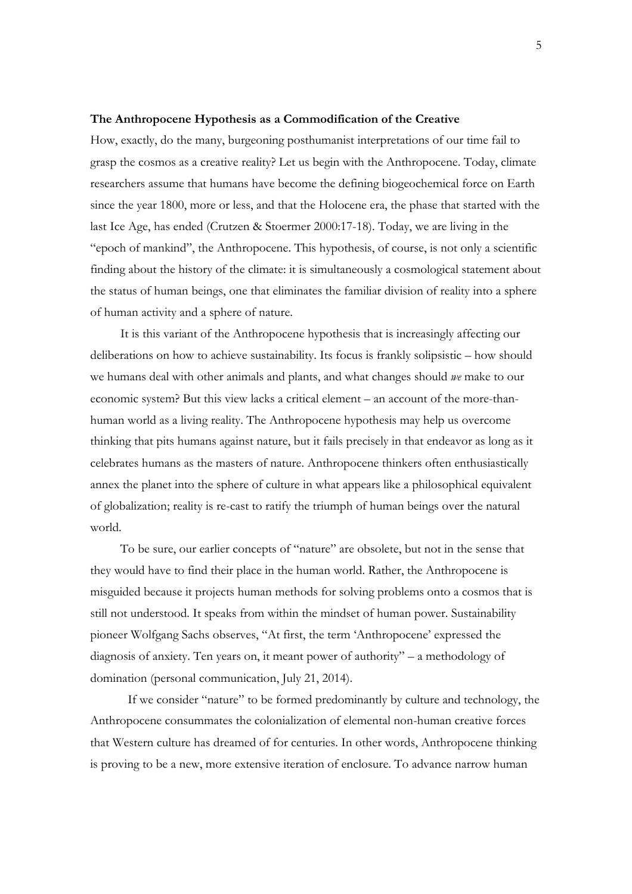#### **The Anthropocene Hypothesis as a Commodification of the Creative**

How, exactly, do the many, burgeoning posthumanist interpretations of our time fail to grasp the cosmos as a creative reality? Let us begin with the Anthropocene. Today, climate researchers assume that humans have become the defining biogeochemical force on Earth since the year 1800, more or less, and that the Holocene era, the phase that started with the last Ice Age, has ended (Crutzen & Stoermer 2000:17-18). Today, we are living in the "epoch of mankind", the Anthropocene. This hypothesis, of course, is not only a scientific finding about the history of the climate: it is simultaneously a cosmological statement about the status of human beings, one that eliminates the familiar division of reality into a sphere of human activity and a sphere of nature.

It is this variant of the Anthropocene hypothesis that is increasingly affecting our deliberations on how to achieve sustainability. Its focus is frankly solipsistic – how should we humans deal with other animals and plants, and what changes should *we* make to our economic system? But this view lacks a critical element – an account of the more-thanhuman world as a living reality. The Anthropocene hypothesis may help us overcome thinking that pits humans against nature, but it fails precisely in that endeavor as long as it celebrates humans as the masters of nature. Anthropocene thinkers often enthusiastically annex the planet into the sphere of culture in what appears like a philosophical equivalent of globalization; reality is re-cast to ratify the triumph of human beings over the natural world.

To be sure, our earlier concepts of "nature" are obsolete, but not in the sense that they would have to find their place in the human world. Rather, the Anthropocene is misguided because it projects human methods for solving problems onto a cosmos that is still not understood. It speaks from within the mindset of human power. Sustainability pioneer Wolfgang Sachs observes, "At first, the term 'Anthropocene' expressed the diagnosis of anxiety. Ten years on, it meant power of authority" – a methodology of domination (personal communication, July 21, 2014).

If we consider "nature" to be formed predominantly by culture and technology, the Anthropocene consummates the colonialization of elemental non-human creative forces that Western culture has dreamed of for centuries. In other words, Anthropocene thinking is proving to be a new, more extensive iteration of enclosure. To advance narrow human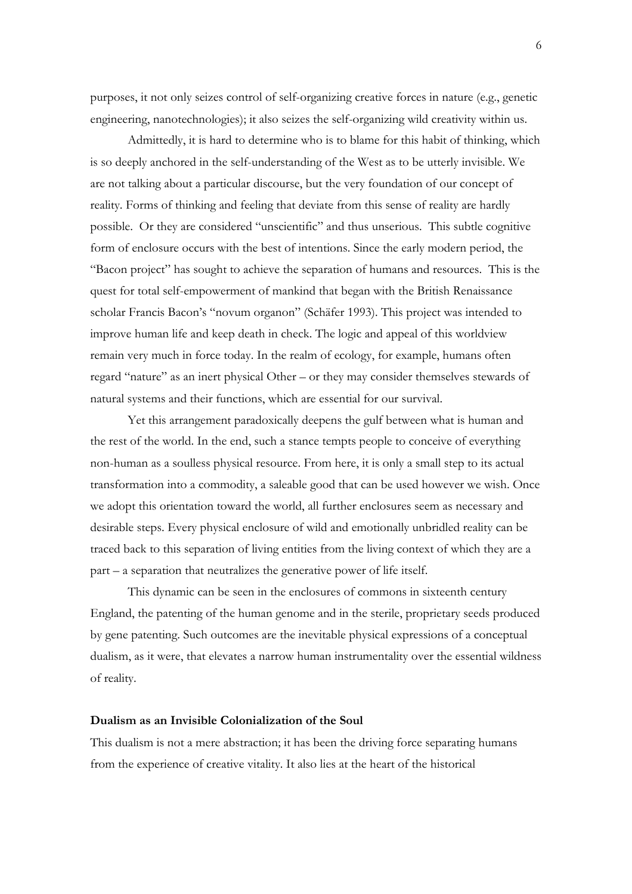purposes, it not only seizes control of self-organizing creative forces in nature (e.g., genetic engineering, nanotechnologies); it also seizes the self-organizing wild creativity within us.

Admittedly, it is hard to determine who is to blame for this habit of thinking, which is so deeply anchored in the self-understanding of the West as to be utterly invisible. We are not talking about a particular discourse, but the very foundation of our concept of reality. Forms of thinking and feeling that deviate from this sense of reality are hardly possible. Or they are considered "unscientific" and thus unserious. This subtle cognitive form of enclosure occurs with the best of intentions. Since the early modern period, the "Bacon project" has sought to achieve the separation of humans and resources. This is the quest for total self-empowerment of mankind that began with the British Renaissance scholar Francis Bacon's "novum organon" (Schäfer 1993). This project was intended to improve human life and keep death in check. The logic and appeal of this worldview remain very much in force today. In the realm of ecology, for example, humans often regard "nature" as an inert physical Other – or they may consider themselves stewards of natural systems and their functions, which are essential for our survival.

Yet this arrangement paradoxically deepens the gulf between what is human and the rest of the world. In the end, such a stance tempts people to conceive of everything non-human as a soulless physical resource. From here, it is only a small step to its actual transformation into a commodity, a saleable good that can be used however we wish. Once we adopt this orientation toward the world, all further enclosures seem as necessary and desirable steps. Every physical enclosure of wild and emotionally unbridled reality can be traced back to this separation of living entities from the living context of which they are a part – a separation that neutralizes the generative power of life itself.

This dynamic can be seen in the enclosures of commons in sixteenth century England, the patenting of the human genome and in the sterile, proprietary seeds produced by gene patenting. Such outcomes are the inevitable physical expressions of a conceptual dualism, as it were, that elevates a narrow human instrumentality over the essential wildness of reality.

## **Dualism as an Invisible Colonialization of the Soul**

This dualism is not a mere abstraction; it has been the driving force separating humans from the experience of creative vitality. It also lies at the heart of the historical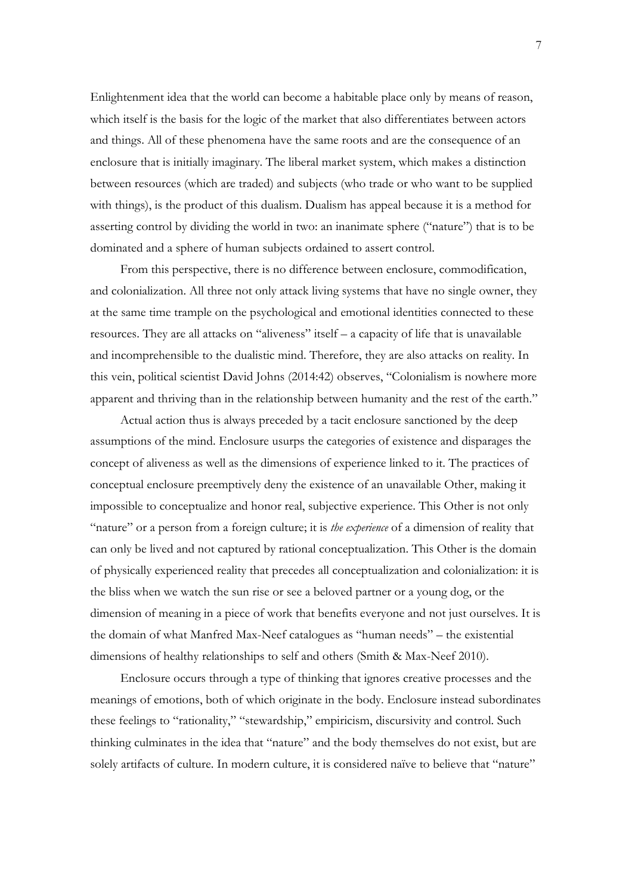Enlightenment idea that the world can become a habitable place only by means of reason, which itself is the basis for the logic of the market that also differentiates between actors and things. All of these phenomena have the same roots and are the consequence of an enclosure that is initially imaginary. The liberal market system, which makes a distinction between resources (which are traded) and subjects (who trade or who want to be supplied with things), is the product of this dualism. Dualism has appeal because it is a method for asserting control by dividing the world in two: an inanimate sphere ("nature") that is to be dominated and a sphere of human subjects ordained to assert control.

From this perspective, there is no difference between enclosure, commodification, and colonialization. All three not only attack living systems that have no single owner, they at the same time trample on the psychological and emotional identities connected to these resources. They are all attacks on "aliveness" itself – a capacity of life that is unavailable and incomprehensible to the dualistic mind. Therefore, they are also attacks on reality. In this vein, political scientist David Johns (2014:42) observes, "Colonialism is nowhere more apparent and thriving than in the relationship between humanity and the rest of the earth."

Actual action thus is always preceded by a tacit enclosure sanctioned by the deep assumptions of the mind. Enclosure usurps the categories of existence and disparages the concept of aliveness as well as the dimensions of experience linked to it. The practices of conceptual enclosure preemptively deny the existence of an unavailable Other, making it impossible to conceptualize and honor real, subjective experience. This Other is not only "nature" or a person from a foreign culture; it is *the experience* of a dimension of reality that can only be lived and not captured by rational conceptualization. This Other is the domain of physically experienced reality that precedes all conceptualization and colonialization: it is the bliss when we watch the sun rise or see a beloved partner or a young dog, or the dimension of meaning in a piece of work that benefits everyone and not just ourselves. It is the domain of what Manfred Max-Neef catalogues as "human needs" – the existential dimensions of healthy relationships to self and others (Smith & Max-Neef 2010).

Enclosure occurs through a type of thinking that ignores creative processes and the meanings of emotions, both of which originate in the body. Enclosure instead subordinates these feelings to "rationality," "stewardship," empiricism, discursivity and control. Such thinking culminates in the idea that "nature" and the body themselves do not exist, but are solely artifacts of culture. In modern culture, it is considered naïve to believe that "nature"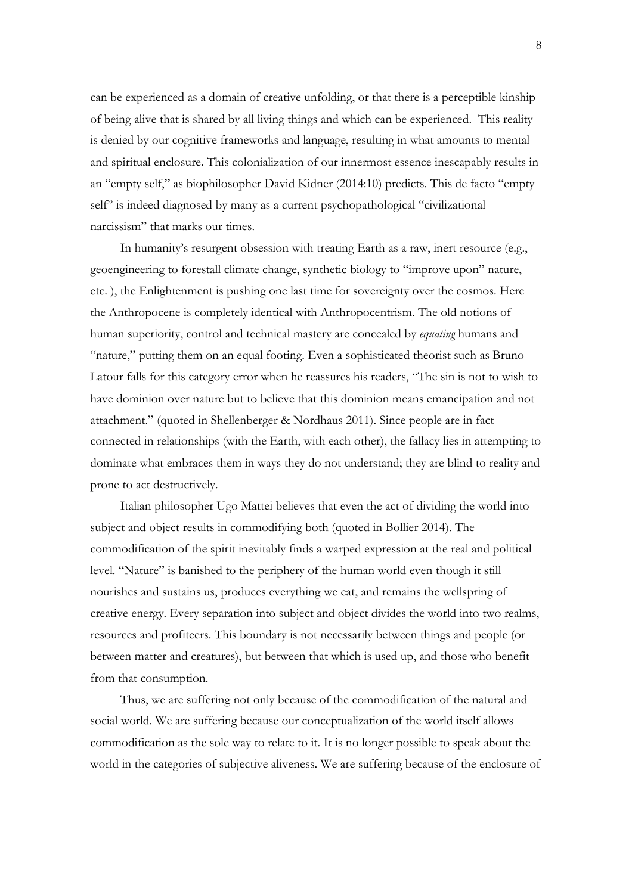can be experienced as a domain of creative unfolding, or that there is a perceptible kinship of being alive that is shared by all living things and which can be experienced. This reality is denied by our cognitive frameworks and language, resulting in what amounts to mental and spiritual enclosure. This colonialization of our innermost essence inescapably results in an "empty self," as biophilosopher David Kidner (2014:10) predicts. This de facto "empty self" is indeed diagnosed by many as a current psychopathological "civilizational narcissism" that marks our times.

In humanity's resurgent obsession with treating Earth as a raw, inert resource (e.g., geoengineering to forestall climate change, synthetic biology to "improve upon" nature, etc. ), the Enlightenment is pushing one last time for sovereignty over the cosmos. Here the Anthropocene is completely identical with Anthropocentrism. The old notions of human superiority, control and technical mastery are concealed by *equating* humans and "nature," putting them on an equal footing. Even a sophisticated theorist such as Bruno Latour falls for this category error when he reassures his readers, "The sin is not to wish to have dominion over nature but to believe that this dominion means emancipation and not attachment." (quoted in Shellenberger & Nordhaus 2011). Since people are in fact connected in relationships (with the Earth, with each other), the fallacy lies in attempting to dominate what embraces them in ways they do not understand; they are blind to reality and prone to act destructively.

Italian philosopher Ugo Mattei believes that even the act of dividing the world into subject and object results in commodifying both (quoted in Bollier 2014). The commodification of the spirit inevitably finds a warped expression at the real and political level. "Nature" is banished to the periphery of the human world even though it still nourishes and sustains us, produces everything we eat, and remains the wellspring of creative energy. Every separation into subject and object divides the world into two realms, resources and profiteers. This boundary is not necessarily between things and people (or between matter and creatures), but between that which is used up, and those who benefit from that consumption.

Thus, we are suffering not only because of the commodification of the natural and social world. We are suffering because our conceptualization of the world itself allows commodification as the sole way to relate to it. It is no longer possible to speak about the world in the categories of subjective aliveness. We are suffering because of the enclosure of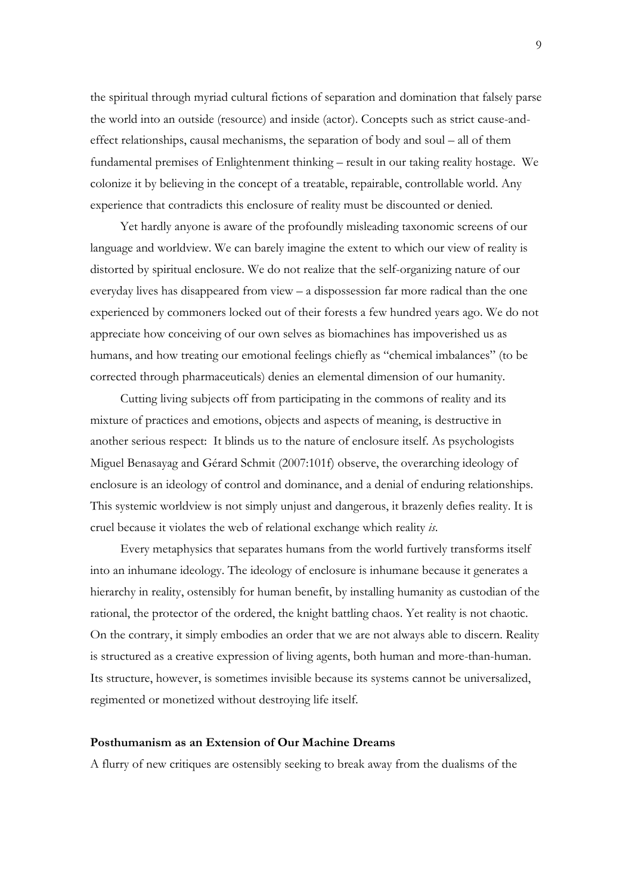the spiritual through myriad cultural fictions of separation and domination that falsely parse the world into an outside (resource) and inside (actor). Concepts such as strict cause-andeffect relationships, causal mechanisms, the separation of body and soul – all of them fundamental premises of Enlightenment thinking – result in our taking reality hostage. We colonize it by believing in the concept of a treatable, repairable, controllable world. Any experience that contradicts this enclosure of reality must be discounted or denied.

Yet hardly anyone is aware of the profoundly misleading taxonomic screens of our language and worldview. We can barely imagine the extent to which our view of reality is distorted by spiritual enclosure. We do not realize that the self-organizing nature of our everyday lives has disappeared from view – a dispossession far more radical than the one experienced by commoners locked out of their forests a few hundred years ago. We do not appreciate how conceiving of our own selves as biomachines has impoverished us as humans, and how treating our emotional feelings chiefly as "chemical imbalances" (to be corrected through pharmaceuticals) denies an elemental dimension of our humanity.

Cutting living subjects off from participating in the commons of reality and its mixture of practices and emotions, objects and aspects of meaning, is destructive in another serious respect: It blinds us to the nature of enclosure itself. As psychologists Miguel Benasayag and Gérard Schmit (2007:101f) observe, the overarching ideology of enclosure is an ideology of control and dominance, and a denial of enduring relationships. This systemic worldview is not simply unjust and dangerous, it brazenly defies reality. It is cruel because it violates the web of relational exchange which reality *is*.

Every metaphysics that separates humans from the world furtively transforms itself into an inhumane ideology. The ideology of enclosure is inhumane because it generates a hierarchy in reality, ostensibly for human benefit, by installing humanity as custodian of the rational, the protector of the ordered, the knight battling chaos. Yet reality is not chaotic. On the contrary, it simply embodies an order that we are not always able to discern. Reality is structured as a creative expression of living agents, both human and more-than-human. Its structure, however, is sometimes invisible because its systems cannot be universalized, regimented or monetized without destroying life itself.

# **Posthumanism as an Extension of Our Machine Dreams**

A flurry of new critiques are ostensibly seeking to break away from the dualisms of the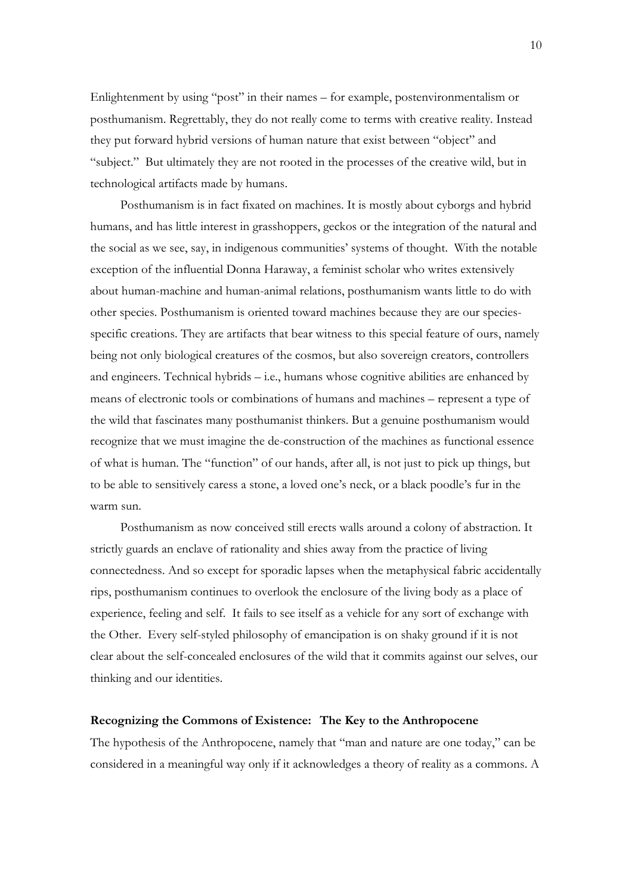Enlightenment by using "post" in their names – for example, postenvironmentalism or posthumanism. Regrettably, they do not really come to terms with creative reality. Instead they put forward hybrid versions of human nature that exist between "object" and "subject." But ultimately they are not rooted in the processes of the creative wild, but in technological artifacts made by humans.

Posthumanism is in fact fixated on machines. It is mostly about cyborgs and hybrid humans, and has little interest in grasshoppers, geckos or the integration of the natural and the social as we see, say, in indigenous communities' systems of thought. With the notable exception of the influential Donna Haraway, a feminist scholar who writes extensively about human-machine and human-animal relations, posthumanism wants little to do with other species. Posthumanism is oriented toward machines because they are our speciesspecific creations. They are artifacts that bear witness to this special feature of ours, namely being not only biological creatures of the cosmos, but also sovereign creators, controllers and engineers. Technical hybrids – i.e., humans whose cognitive abilities are enhanced by means of electronic tools or combinations of humans and machines – represent a type of the wild that fascinates many posthumanist thinkers. But a genuine posthumanism would recognize that we must imagine the de-construction of the machines as functional essence of what is human. The "function" of our hands, after all, is not just to pick up things, but to be able to sensitively caress a stone, a loved one's neck, or a black poodle's fur in the warm sun.

Posthumanism as now conceived still erects walls around a colony of abstraction. It strictly guards an enclave of rationality and shies away from the practice of living connectedness. And so except for sporadic lapses when the metaphysical fabric accidentally rips, posthumanism continues to overlook the enclosure of the living body as a place of experience, feeling and self. It fails to see itself as a vehicle for any sort of exchange with the Other. Every self-styled philosophy of emancipation is on shaky ground if it is not clear about the self-concealed enclosures of the wild that it commits against our selves, our thinking and our identities.

#### **Recognizing the Commons of Existence:****The Key to the Anthropocene**

The hypothesis of the Anthropocene, namely that "man and nature are one today," can be considered in a meaningful way only if it acknowledges a theory of reality as a commons. A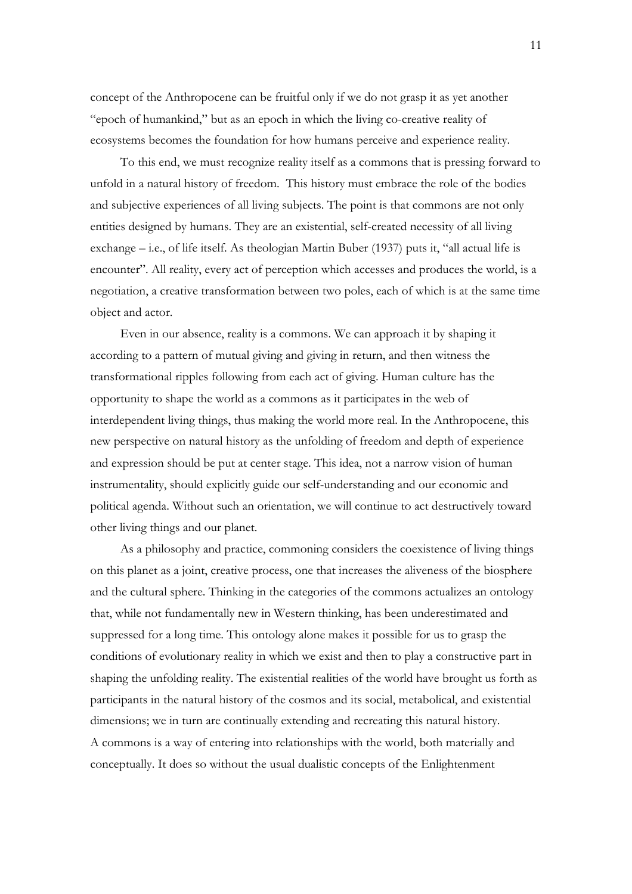concept of the Anthropocene can be fruitful only if we do not grasp it as yet another "epoch of humankind," but as an epoch in which the living co-creative reality of ecosystems becomes the foundation for how humans perceive and experience reality.

To this end, we must recognize reality itself as a commons that is pressing forward to unfold in a natural history of freedom. This history must embrace the role of the bodies and subjective experiences of all living subjects. The point is that commons are not only entities designed by humans. They are an existential, self-created necessity of all living exchange – i.e., of life itself. As theologian Martin Buber (1937) puts it, "all actual life is encounter". All reality, every act of perception which accesses and produces the world, is a negotiation, a creative transformation between two poles, each of which is at the same time object and actor.

Even in our absence, reality is a commons. We can approach it by shaping it according to a pattern of mutual giving and giving in return, and then witness the transformational ripples following from each act of giving. Human culture has the opportunity to shape the world as a commons as it participates in the web of interdependent living things, thus making the world more real. In the Anthropocene, this new perspective on natural history as the unfolding of freedom and depth of experience and expression should be put at center stage. This idea, not a narrow vision of human instrumentality, should explicitly guide our self-understanding and our economic and political agenda. Without such an orientation, we will continue to act destructively toward other living things and our planet.

As a philosophy and practice, commoning considers the coexistence of living things on this planet as a joint, creative process, one that increases the aliveness of the biosphere and the cultural sphere. Thinking in the categories of the commons actualizes an ontology that, while not fundamentally new in Western thinking, has been underestimated and suppressed for a long time. This ontology alone makes it possible for us to grasp the conditions of evolutionary reality in which we exist and then to play a constructive part in shaping the unfolding reality. The existential realities of the world have brought us forth as participants in the natural history of the cosmos and its social, metabolical, and existential dimensions; we in turn are continually extending and recreating this natural history. A commons is a way of entering into relationships with the world, both materially and conceptually. It does so without the usual dualistic concepts of the Enlightenment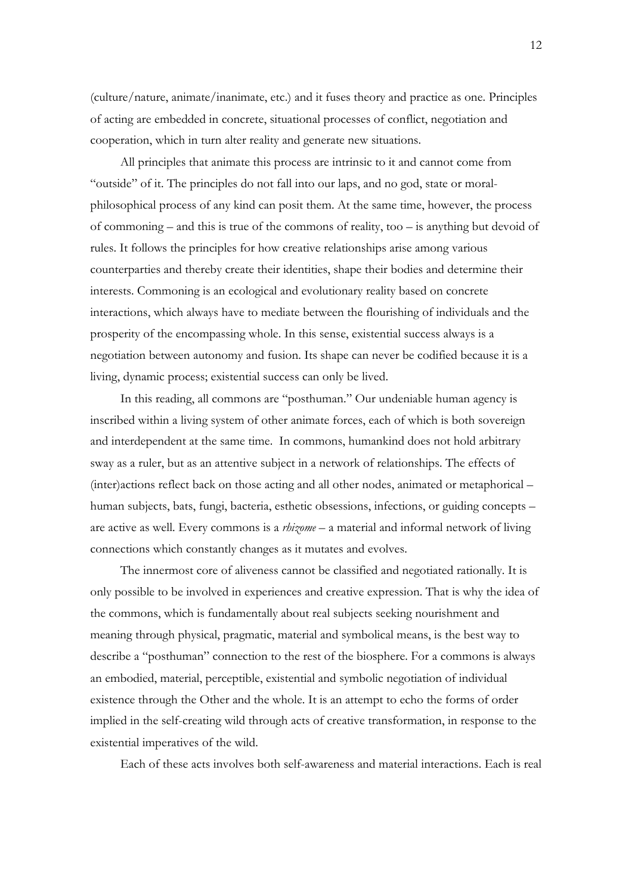(culture/nature, animate/inanimate, etc.) and it fuses theory and practice as one. Principles of acting are embedded in concrete, situational processes of conflict, negotiation and cooperation, which in turn alter reality and generate new situations.

All principles that animate this process are intrinsic to it and cannot come from "outside" of it. The principles do not fall into our laps, and no god, state or moralphilosophical process of any kind can posit them. At the same time, however, the process of commoning – and this is true of the commons of reality, too – is anything but devoid of rules. It follows the principles for how creative relationships arise among various counterparties and thereby create their identities, shape their bodies and determine their interests. Commoning is an ecological and evolutionary reality based on concrete interactions, which always have to mediate between the flourishing of individuals and the prosperity of the encompassing whole. In this sense, existential success always is a negotiation between autonomy and fusion. Its shape can never be codified because it is a living, dynamic process; existential success can only be lived.

In this reading, all commons are "posthuman." Our undeniable human agency is inscribed within a living system of other animate forces, each of which is both sovereign and interdependent at the same time. In commons, humankind does not hold arbitrary sway as a ruler, but as an attentive subject in a network of relationships. The effects of (inter)actions reflect back on those acting and all other nodes, animated or metaphorical – human subjects, bats, fungi, bacteria, esthetic obsessions, infections, or guiding concepts – are active as well. Every commons is a *rhizome* – a material and informal network of living connections which constantly changes as it mutates and evolves.

The innermost core of aliveness cannot be classified and negotiated rationally. It is only possible to be involved in experiences and creative expression. That is why the idea of the commons, which is fundamentally about real subjects seeking nourishment and meaning through physical, pragmatic, material and symbolical means, is the best way to describe a "posthuman" connection to the rest of the biosphere. For a commons is always an embodied, material, perceptible, existential and symbolic negotiation of individual existence through the Other and the whole. It is an attempt to echo the forms of order implied in the self-creating wild through acts of creative transformation, in response to the existential imperatives of the wild.

Each of these acts involves both self-awareness and material interactions. Each is real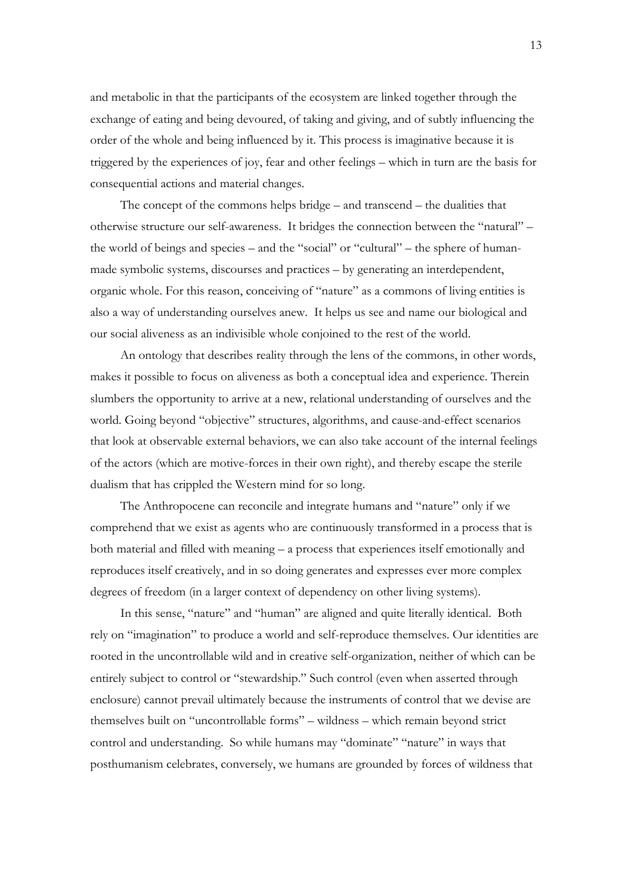and metabolic in that the participants of the ecosystem are linked together through the exchange of eating and being devoured, of taking and giving, and of subtly influencing the order of the whole and being influenced by it. This process is imaginative because it is triggered by the experiences of joy, fear and other feelings – which in turn are the basis for consequential actions and material changes.

The concept of the commons helps bridge – and transcend – the dualities that otherwise structure our self-awareness. It bridges the connection between the "natural" – the world of beings and species – and the "social" or "cultural" – the sphere of humanmade symbolic systems, discourses and practices – by generating an interdependent, organic whole. For this reason, conceiving of "nature" as a commons of living entities is also a way of understanding ourselves anew. It helps us see and name our biological and our social aliveness as an indivisible whole conjoined to the rest of the world.

An ontology that describes reality through the lens of the commons, in other words, makes it possible to focus on aliveness as both a conceptual idea and experience. Therein slumbers the opportunity to arrive at a new, relational understanding of ourselves and the world. Going beyond "objective" structures, algorithms, and cause-and-effect scenarios that look at observable external behaviors, we can also take account of the internal feelings of the actors (which are motive-forces in their own right), and thereby escape the sterile dualism that has crippled the Western mind for so long.

The Anthropocene can reconcile and integrate humans and "nature" only if we comprehend that we exist as agents who are continuously transformed in a process that is both material and filled with meaning – a process that experiences itself emotionally and reproduces itself creatively, and in so doing generates and expresses ever more complex degrees of freedom (in a larger context of dependency on other living systems).

In this sense, "nature" and "human" are aligned and quite literally identical. Both rely on "imagination" to produce a world and self-reproduce themselves. Our identities are rooted in the uncontrollable wild and in creative self-organization, neither of which can be entirely subject to control or "stewardship." Such control (even when asserted through enclosure) cannot prevail ultimately because the instruments of control that we devise are themselves built on "uncontrollable forms" – wildness – which remain beyond strict control and understanding. So while humans may "dominate" "nature" in ways that posthumanism celebrates, conversely, we humans are grounded by forces of wildness that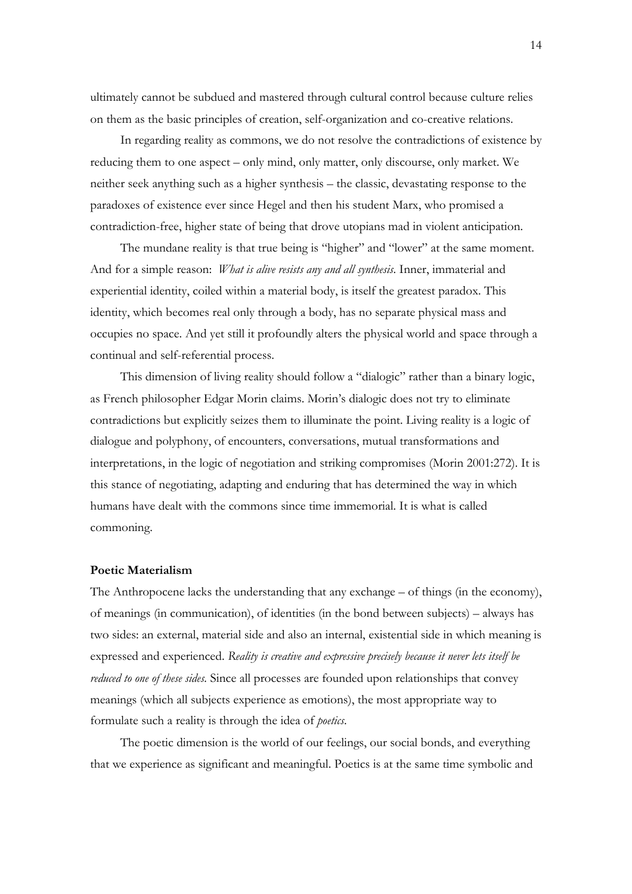ultimately cannot be subdued and mastered through cultural control because culture relies on them as the basic principles of creation, self-organization and co-creative relations.

In regarding reality as commons, we do not resolve the contradictions of existence by reducing them to one aspect – only mind, only matter, only discourse, only market. We neither seek anything such as a higher synthesis – the classic, devastating response to the paradoxes of existence ever since Hegel and then his student Marx, who promised a contradiction-free, higher state of being that drove utopians mad in violent anticipation.

The mundane reality is that true being is "higher" and "lower" at the same moment. And for a simple reason: *What is alive resists any and all synthesis*. Inner, immaterial and experiential identity, coiled within a material body, is itself the greatest paradox. This identity, which becomes real only through a body, has no separate physical mass and occupies no space. And yet still it profoundly alters the physical world and space through a continual and self-referential process.

This dimension of living reality should follow a "dialogic" rather than a binary logic, as French philosopher Edgar Morin claims. Morin's dialogic does not try to eliminate contradictions but explicitly seizes them to illuminate the point. Living reality is a logic of dialogue and polyphony, of encounters, conversations, mutual transformations and interpretations, in the logic of negotiation and striking compromises (Morin 2001:272). It is this stance of negotiating, adapting and enduring that has determined the way in which humans have dealt with the commons since time immemorial. It is what is called commoning.

#### **Poetic Materialism**

The Anthropocene lacks the understanding that any exchange – of things (in the economy), of meanings (in communication), of identities (in the bond between subjects) – always has two sides: an external, material side and also an internal, existential side in which meaning is expressed and experienced. *Reality is creative and expressive precisely because it never lets itself be reduced to one of these sides.* Since all processes are founded upon relationships that convey meanings (which all subjects experience as emotions), the most appropriate way to formulate such a reality is through the idea of *poetics*.

The poetic dimension is the world of our feelings, our social bonds, and everything that we experience as significant and meaningful. Poetics is at the same time symbolic and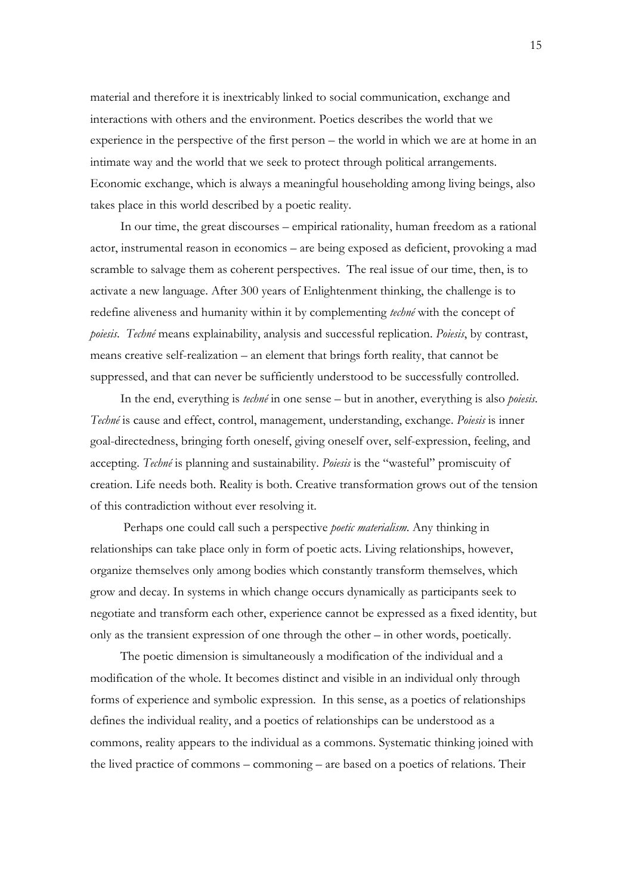material and therefore it is inextricably linked to social communication, exchange and interactions with others and the environment. Poetics describes the world that we experience in the perspective of the first person – the world in which we are at home in an intimate way and the world that we seek to protect through political arrangements. Economic exchange, which is always a meaningful householding among living beings, also takes place in this world described by a poetic reality.

In our time, the great discourses – empirical rationality, human freedom as a rational actor, instrumental reason in economics – are being exposed as deficient, provoking a mad scramble to salvage them as coherent perspectives. The real issue of our time, then, is to activate a new language. After 300 years of Enlightenment thinking, the challenge is to redefine aliveness and humanity within it by complementing *techné* with the concept of *poiesis*. *Techné* means explainability, analysis and successful replication. *Poiesis*, by contrast, means creative self-realization – an element that brings forth reality, that cannot be suppressed, and that can never be sufficiently understood to be successfully controlled.

In the end, everything is *techné* in one sense – but in another, everything is also *poiesis*. *Techné* is cause and effect, control, management, understanding, exchange. *Poiesis* is inner goal-directedness, bringing forth oneself, giving oneself over, self-expression, feeling, and accepting. *Techné* is planning and sustainability. *Poiesis* is the "wasteful" promiscuity of creation. Life needs both. Reality is both. Creative transformation grows out of the tension of this contradiction without ever resolving it.

Perhaps one could call such a perspective *poetic materialism*. Any thinking in relationships can take place only in form of poetic acts. Living relationships, however, organize themselves only among bodies which constantly transform themselves, which grow and decay. In systems in which change occurs dynamically as participants seek to negotiate and transform each other, experience cannot be expressed as a fixed identity, but only as the transient expression of one through the other – in other words, poetically.

The poetic dimension is simultaneously a modification of the individual and a modification of the whole. It becomes distinct and visible in an individual only through forms of experience and symbolic expression. In this sense, as a poetics of relationships defines the individual reality, and a poetics of relationships can be understood as a commons, reality appears to the individual as a commons. Systematic thinking joined with the lived practice of commons – commoning – are based on a poetics of relations. Their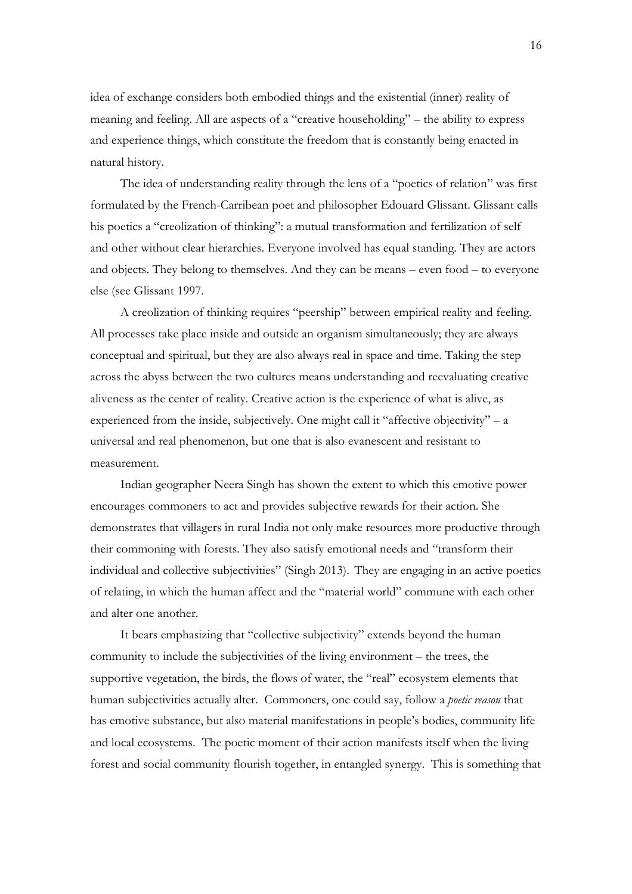idea of exchange considers both embodied things and the existential (inner) reality of meaning and feeling. All are aspects of a "creative householding" – the ability to express and experience things, which constitute the freedom that is constantly being enacted in natural history.

The idea of understanding reality through the lens of a "poetics of relation" was first formulated by the French-Carribean poet and philosopher Edouard Glissant. Glissant calls his poetics a "creolization of thinking": a mutual transformation and fertilization of self and other without clear hierarchies. Everyone involved has equal standing. They are actors and objects. They belong to themselves. And they can be means – even food – to everyone else (see Glissant 1997.

A creolization of thinking requires "peership" between empirical reality and feeling. All processes take place inside and outside an organism simultaneously; they are always conceptual and spiritual, but they are also always real in space and time. Taking the step across the abyss between the two cultures means understanding and reevaluating creative aliveness as the center of reality. Creative action is the experience of what is alive, as experienced from the inside, subjectively. One might call it "affective objectivity" – a universal and real phenomenon, but one that is also evanescent and resistant to measurement.

Indian geographer Neera Singh has shown the extent to which this emotive power encourages commoners to act and provides subjective rewards for their action. She demonstrates that villagers in rural India not only make resources more productive through their commoning with forests. They also satisfy emotional needs and "transform their individual and collective subjectivities" (Singh 2013). They are engaging in an active poetics of relating, in which the human affect and the "material world" commune with each other and alter one another.

It bears emphasizing that "collective subjectivity" extends beyond the human community to include the subjectivities of the living environment – the trees, the supportive vegetation, the birds, the flows of water, the "real" ecosystem elements that human subjectivities actually alter. Commoners, one could say, follow a *poetic reason* that has emotive substance, but also material manifestations in people's bodies, community life and local ecosystems. The poetic moment of their action manifests itself when the living forest and social community flourish together, in entangled synergy. This is something that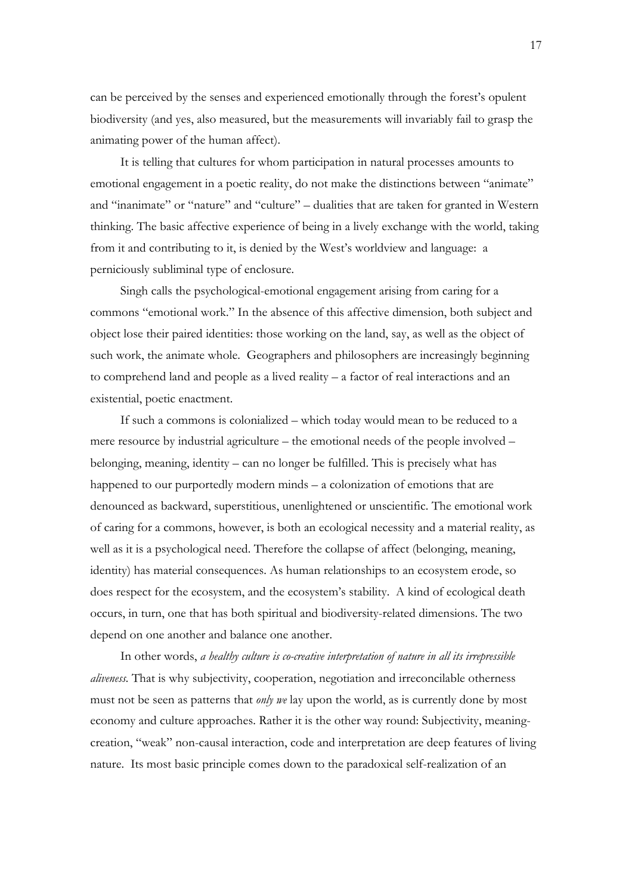can be perceived by the senses and experienced emotionally through the forest's opulent biodiversity (and yes, also measured, but the measurements will invariably fail to grasp the animating power of the human affect).

It is telling that cultures for whom participation in natural processes amounts to emotional engagement in a poetic reality, do not make the distinctions between "animate" and "inanimate" or "nature" and "culture" – dualities that are taken for granted in Western thinking. The basic affective experience of being in a lively exchange with the world, taking from it and contributing to it, is denied by the West's worldview and language: a perniciously subliminal type of enclosure.

Singh calls the psychological-emotional engagement arising from caring for a commons "emotional work." In the absence of this affective dimension, both subject and object lose their paired identities: those working on the land, say, as well as the object of such work, the animate whole. Geographers and philosophers are increasingly beginning to comprehend land and people as a lived reality – a factor of real interactions and an existential, poetic enactment.

If such a commons is colonialized – which today would mean to be reduced to a mere resource by industrial agriculture – the emotional needs of the people involved – belonging, meaning, identity – can no longer be fulfilled. This is precisely what has happened to our purportedly modern minds – a colonization of emotions that are denounced as backward, superstitious, unenlightened or unscientific. The emotional work of caring for a commons, however, is both an ecological necessity and a material reality, as well as it is a psychological need. Therefore the collapse of affect (belonging, meaning, identity) has material consequences. As human relationships to an ecosystem erode, so does respect for the ecosystem, and the ecosystem's stability. A kind of ecological death occurs, in turn, one that has both spiritual and biodiversity-related dimensions. The two depend on one another and balance one another.

In other words, *a healthy culture is co-creative interpretation of nature in all its irrepressible aliveness.* That is why subjectivity, cooperation, negotiation and irreconcilable otherness must not be seen as patterns that *only we* lay upon the world, as is currently done by most economy and culture approaches. Rather it is the other way round: Subjectivity, meaningcreation, "weak" non-causal interaction, code and interpretation are deep features of living nature. Its most basic principle comes down to the paradoxical self-realization of an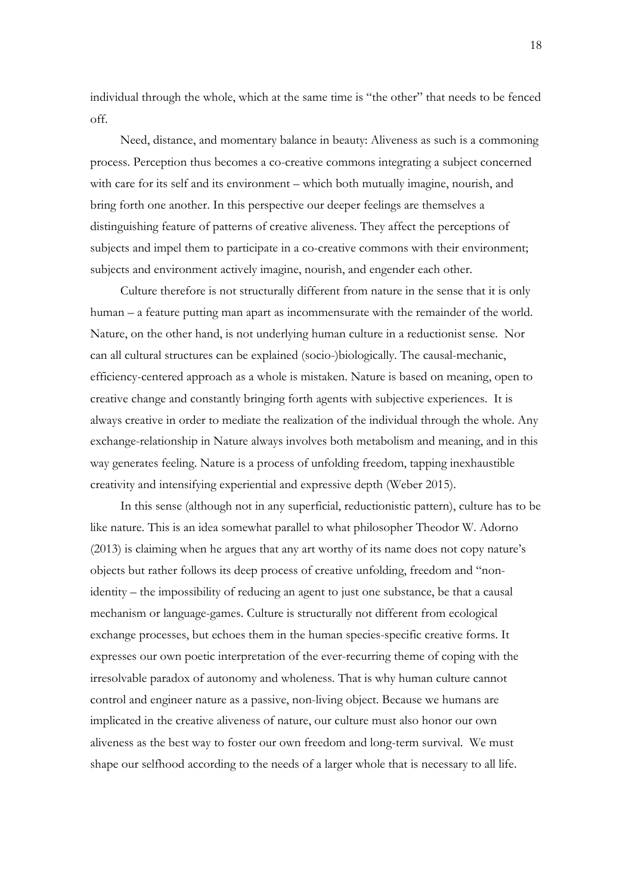individual through the whole, which at the same time is "the other" that needs to be fenced off.

Need, distance, and momentary balance in beauty: Aliveness as such is a commoning process. Perception thus becomes a co-creative commons integrating a subject concerned with care for its self and its environment – which both mutually imagine, nourish, and bring forth one another. In this perspective our deeper feelings are themselves a distinguishing feature of patterns of creative aliveness. They affect the perceptions of subjects and impel them to participate in a co-creative commons with their environment; subjects and environment actively imagine, nourish, and engender each other.

Culture therefore is not structurally different from nature in the sense that it is only human – a feature putting man apart as incommensurate with the remainder of the world. Nature, on the other hand, is not underlying human culture in a reductionist sense. Nor can all cultural structures can be explained (socio-)biologically. The causal-mechanic, efficiency-centered approach as a whole is mistaken. Nature is based on meaning, open to creative change and constantly bringing forth agents with subjective experiences. It is always creative in order to mediate the realization of the individual through the whole. Any exchange-relationship in Nature always involves both metabolism and meaning, and in this way generates feeling. Nature is a process of unfolding freedom, tapping inexhaustible creativity and intensifying experiential and expressive depth (Weber 2015).

In this sense (although not in any superficial, reductionistic pattern), culture has to be like nature. This is an idea somewhat parallel to what philosopher Theodor W. Adorno (2013) is claiming when he argues that any art worthy of its name does not copy nature's objects but rather follows its deep process of creative unfolding, freedom and "nonidentity – the impossibility of reducing an agent to just one substance, be that a causal mechanism or language-games. Culture is structurally not different from ecological exchange processes, but echoes them in the human species-specific creative forms. It expresses our own poetic interpretation of the ever-recurring theme of coping with the irresolvable paradox of autonomy and wholeness. That is why human culture cannot control and engineer nature as a passive, non-living object. Because we humans are implicated in the creative aliveness of nature, our culture must also honor our own aliveness as the best way to foster our own freedom and long-term survival. We must shape our selfhood according to the needs of a larger whole that is necessary to all life.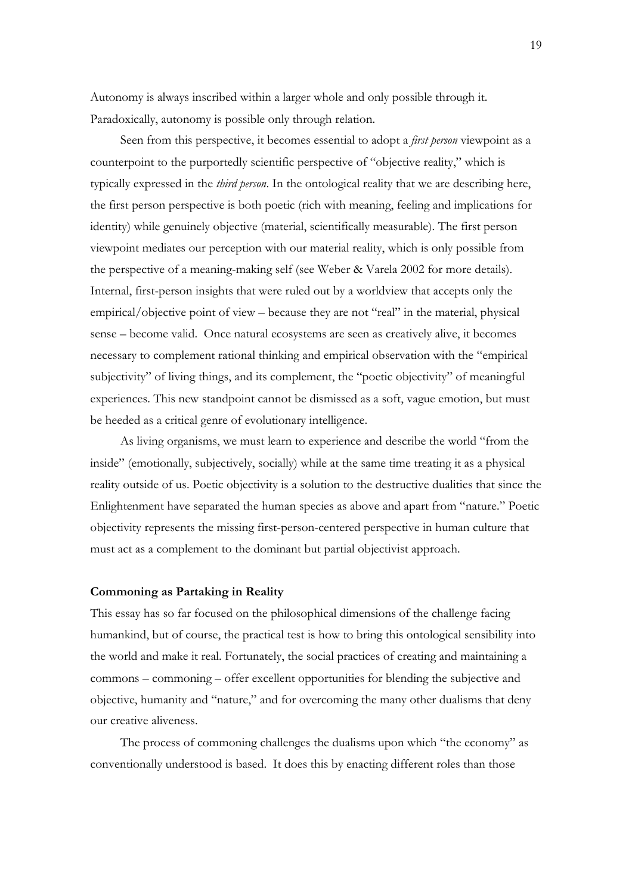Autonomy is always inscribed within a larger whole and only possible through it. Paradoxically, autonomy is possible only through relation.

Seen from this perspective, it becomes essential to adopt a *first person* viewpoint as a counterpoint to the purportedly scientific perspective of "objective reality," which is typically expressed in the *third person*. In the ontological reality that we are describing here, the first person perspective is both poetic (rich with meaning, feeling and implications for identity) while genuinely objective (material, scientifically measurable). The first person viewpoint mediates our perception with our material reality, which is only possible from the perspective of a meaning-making self (see Weber & Varela 2002 for more details). Internal, first-person insights that were ruled out by a worldview that accepts only the empirical/objective point of view – because they are not "real" in the material, physical sense – become valid. Once natural ecosystems are seen as creatively alive, it becomes necessary to complement rational thinking and empirical observation with the "empirical subjectivity" of living things, and its complement, the "poetic objectivity" of meaningful experiences. This new standpoint cannot be dismissed as a soft, vague emotion, but must be heeded as a critical genre of evolutionary intelligence.

As living organisms, we must learn to experience and describe the world "from the inside" (emotionally, subjectively, socially) while at the same time treating it as a physical reality outside of us. Poetic objectivity is a solution to the destructive dualities that since the Enlightenment have separated the human species as above and apart from "nature." Poetic objectivity represents the missing first-person-centered perspective in human culture that must act as a complement to the dominant but partial objectivist approach.

#### **Commoning as Partaking in Reality**

This essay has so far focused on the philosophical dimensions of the challenge facing humankind, but of course, the practical test is how to bring this ontological sensibility into the world and make it real. Fortunately, the social practices of creating and maintaining a commons – commoning – offer excellent opportunities for blending the subjective and objective, humanity and "nature," and for overcoming the many other dualisms that deny our creative aliveness.

The process of commoning challenges the dualisms upon which "the economy" as conventionally understood is based. It does this by enacting different roles than those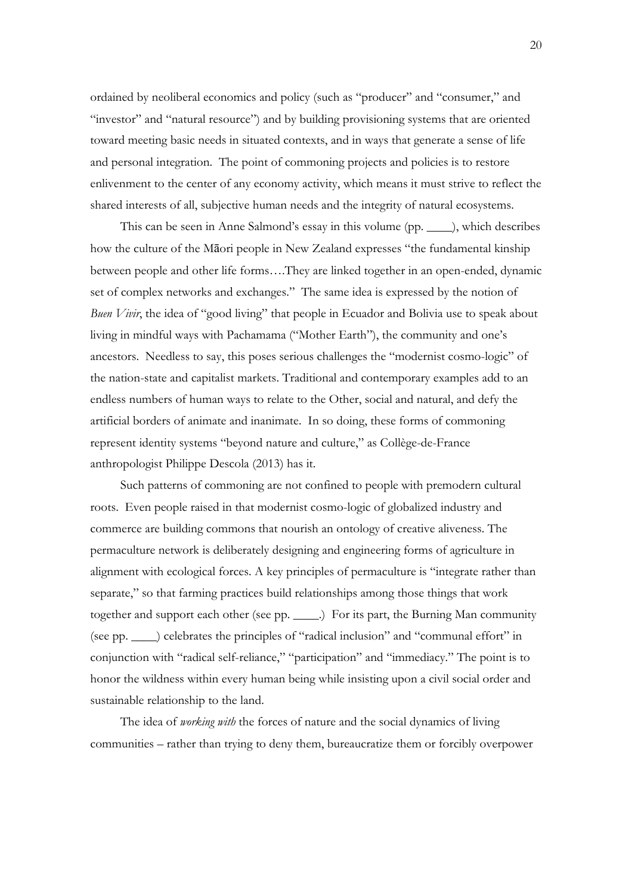ordained by neoliberal economics and policy (such as "producer" and "consumer," and "investor" and "natural resource") and by building provisioning systems that are oriented toward meeting basic needs in situated contexts, and in ways that generate a sense of life and personal integration. The point of commoning projects and policies is to restore enlivenment to the center of any economy activity, which means it must strive to reflect the shared interests of all, subjective human needs and the integrity of natural ecosystems.

This can be seen in Anne Salmond's essay in this volume (pp. \_\_\_\_), which describes how the culture of the Māori people in New Zealand expresses "the fundamental kinship between people and other life forms….They are linked together in an open-ended, dynamic set of complex networks and exchanges." The same idea is expressed by the notion of *Buen Vivir*, the idea of "good living" that people in Ecuador and Bolivia use to speak about living in mindful ways with Pachamama ("Mother Earth"), the community and one's ancestors. Needless to say, this poses serious challenges the "modernist cosmo-logic" of the nation-state and capitalist markets. Traditional and contemporary examples add to an endless numbers of human ways to relate to the Other, social and natural, and defy the artificial borders of animate and inanimate. In so doing, these forms of commoning represent identity systems "beyond nature and culture," as Collège-de-France anthropologist Philippe Descola (2013) has it.

Such patterns of commoning are not confined to people with premodern cultural roots. Even people raised in that modernist cosmo-logic of globalized industry and commerce are building commons that nourish an ontology of creative aliveness. The permaculture network is deliberately designing and engineering forms of agriculture in alignment with ecological forces. A key principles of permaculture is "integrate rather than separate," so that farming practices build relationships among those things that work together and support each other (see pp. \_\_\_\_.) For its part, the Burning Man community (see pp. \_\_\_\_) celebrates the principles of "radical inclusion" and "communal effort" in conjunction with "radical self-reliance," "participation" and "immediacy." The point is to honor the wildness within every human being while insisting upon a civil social order and sustainable relationship to the land.

The idea of *working with* the forces of nature and the social dynamics of living communities – rather than trying to deny them, bureaucratize them or forcibly overpower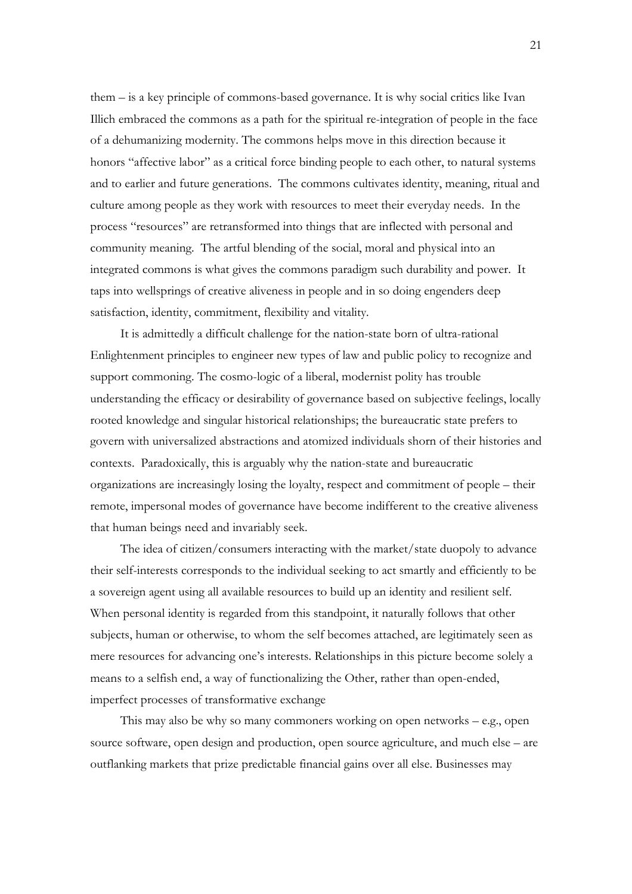them – is a key principle of commons-based governance. It is why social critics like Ivan Illich embraced the commons as a path for the spiritual re-integration of people in the face of a dehumanizing modernity. The commons helps move in this direction because it honors "affective labor" as a critical force binding people to each other, to natural systems and to earlier and future generations. The commons cultivates identity, meaning, ritual and culture among people as they work with resources to meet their everyday needs. In the process "resources" are retransformed into things that are inflected with personal and community meaning. The artful blending of the social, moral and physical into an integrated commons is what gives the commons paradigm such durability and power. It taps into wellsprings of creative aliveness in people and in so doing engenders deep satisfaction, identity, commitment, flexibility and vitality.

It is admittedly a difficult challenge for the nation-state born of ultra-rational Enlightenment principles to engineer new types of law and public policy to recognize and support commoning. The cosmo-logic of a liberal, modernist polity has trouble understanding the efficacy or desirability of governance based on subjective feelings, locally rooted knowledge and singular historical relationships; the bureaucratic state prefers to govern with universalized abstractions and atomized individuals shorn of their histories and contexts. Paradoxically, this is arguably why the nation-state and bureaucratic organizations are increasingly losing the loyalty, respect and commitment of people – their remote, impersonal modes of governance have become indifferent to the creative aliveness that human beings need and invariably seek.

The idea of citizen/consumers interacting with the market/state duopoly to advance their self-interests corresponds to the individual seeking to act smartly and efficiently to be a sovereign agent using all available resources to build up an identity and resilient self. When personal identity is regarded from this standpoint, it naturally follows that other subjects, human or otherwise, to whom the self becomes attached, are legitimately seen as mere resources for advancing one's interests. Relationships in this picture become solely a means to a selfish end, a way of functionalizing the Other, rather than open-ended, imperfect processes of transformative exchange

This may also be why so many commoners working on open networks – e.g., open source software, open design and production, open source agriculture, and much else – are outflanking markets that prize predictable financial gains over all else. Businesses may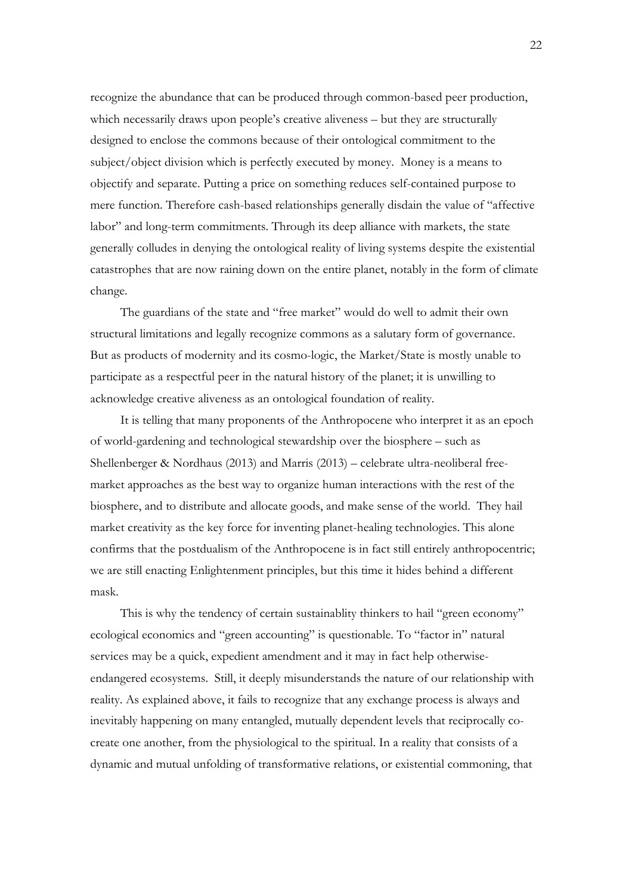recognize the abundance that can be produced through common-based peer production, which necessarily draws upon people's creative aliveness – but they are structurally designed to enclose the commons because of their ontological commitment to the subject/object division which is perfectly executed by money. Money is a means to objectify and separate. Putting a price on something reduces self-contained purpose to mere function. Therefore cash-based relationships generally disdain the value of "affective labor" and long-term commitments. Through its deep alliance with markets, the state generally colludes in denying the ontological reality of living systems despite the existential catastrophes that are now raining down on the entire planet, notably in the form of climate change.

The guardians of the state and "free market" would do well to admit their own structural limitations and legally recognize commons as a salutary form of governance. But as products of modernity and its cosmo-logic, the Market/State is mostly unable to participate as a respectful peer in the natural history of the planet; it is unwilling to acknowledge creative aliveness as an ontological foundation of reality.

It is telling that many proponents of the Anthropocene who interpret it as an epoch of world-gardening and technological stewardship over the biosphere – such as Shellenberger & Nordhaus (2013) and Marris (2013) – celebrate ultra-neoliberal freemarket approaches as the best way to organize human interactions with the rest of the biosphere, and to distribute and allocate goods, and make sense of the world. They hail market creativity as the key force for inventing planet-healing technologies. This alone confirms that the postdualism of the Anthropocene is in fact still entirely anthropocentric; we are still enacting Enlightenment principles, but this time it hides behind a different mask.

This is why the tendency of certain sustainablity thinkers to hail "green economy" ecological economics and "green accounting" is questionable. To "factor in" natural services may be a quick, expedient amendment and it may in fact help otherwiseendangered ecosystems. Still, it deeply misunderstands the nature of our relationship with reality. As explained above, it fails to recognize that any exchange process is always and inevitably happening on many entangled, mutually dependent levels that reciprocally cocreate one another, from the physiological to the spiritual. In a reality that consists of a dynamic and mutual unfolding of transformative relations, or existential commoning, that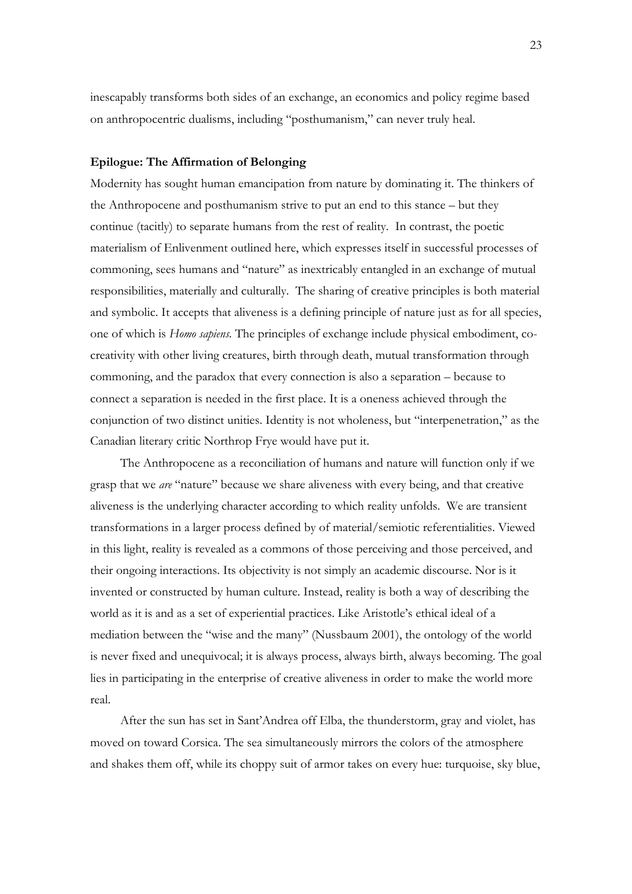inescapably transforms both sides of an exchange, an economics and policy regime based on anthropocentric dualisms, including "posthumanism," can never truly heal.

#### **Epilogue: The Affirmation of Belonging**

Modernity has sought human emancipation from nature by dominating it. The thinkers of the Anthropocene and posthumanism strive to put an end to this stance – but they continue (tacitly) to separate humans from the rest of reality. In contrast, the poetic materialism of Enlivenment outlined here, which expresses itself in successful processes of commoning, sees humans and "nature" as inextricably entangled in an exchange of mutual responsibilities, materially and culturally. The sharing of creative principles is both material and symbolic. It accepts that aliveness is a defining principle of nature just as for all species, one of which is *Homo sapiens*. The principles of exchange include physical embodiment, cocreativity with other living creatures, birth through death, mutual transformation through commoning, and the paradox that every connection is also a separation – because to connect a separation is needed in the first place. It is a oneness achieved through the conjunction of two distinct unities. Identity is not wholeness, but "interpenetration," as the Canadian literary critic Northrop Frye would have put it.

The Anthropocene as a reconciliation of humans and nature will function only if we grasp that we *are* "nature" because we share aliveness with every being, and that creative aliveness is the underlying character according to which reality unfolds. We are transient transformations in a larger process defined by of material/semiotic referentialities. Viewed in this light, reality is revealed as a commons of those perceiving and those perceived, and their ongoing interactions. Its objectivity is not simply an academic discourse. Nor is it invented or constructed by human culture. Instead, reality is both a way of describing the world as it is and as a set of experiential practices. Like Aristotle's ethical ideal of a mediation between the "wise and the many" (Nussbaum 2001), the ontology of the world is never fixed and unequivocal; it is always process, always birth, always becoming. The goal lies in participating in the enterprise of creative aliveness in order to make the world more real.

After the sun has set in Sant'Andrea off Elba, the thunderstorm, gray and violet, has moved on toward Corsica. The sea simultaneously mirrors the colors of the atmosphere and shakes them off, while its choppy suit of armor takes on every hue: turquoise, sky blue,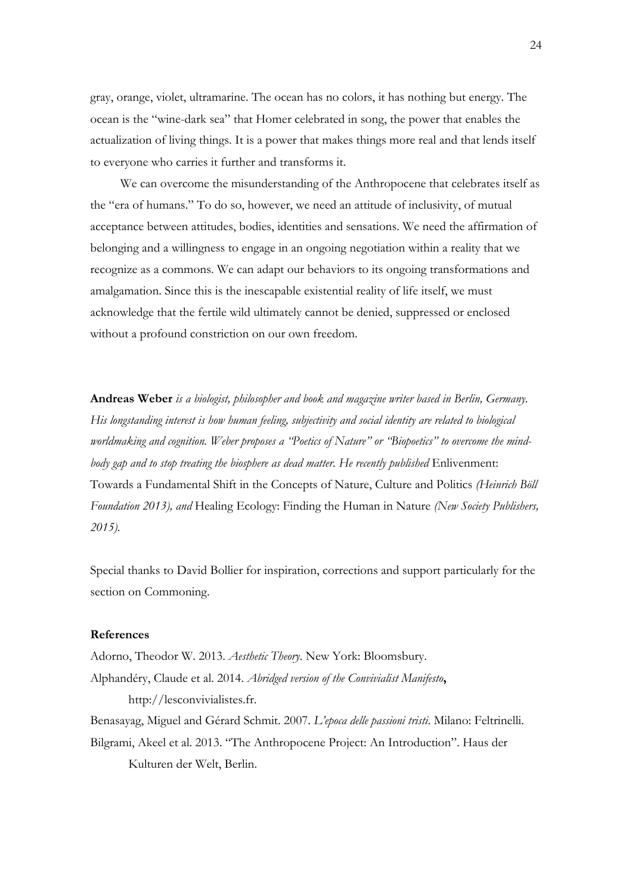gray, orange, violet, ultramarine. The ocean has no colors, it has nothing but energy. The ocean is the "wine-dark sea" that Homer celebrated in song, the power that enables the actualization of living things. It is a power that makes things more real and that lends itself to everyone who carries it further and transforms it.

We can overcome the misunderstanding of the Anthropocene that celebrates itself as the "era of humans." To do so, however, we need an attitude of inclusivity, of mutual acceptance between attitudes, bodies, identities and sensations. We need the affirmation of belonging and a willingness to engage in an ongoing negotiation within a reality that we recognize as a commons. We can adapt our behaviors to its ongoing transformations and amalgamation. Since this is the inescapable existential reality of life itself, we must acknowledge that the fertile wild ultimately cannot be denied, suppressed or enclosed without a profound constriction on our own freedom.

**Andreas Weber** *is a biologist, philosopher and book and magazine writer based in Berlin, Germany. His longstanding interest is how human feeling, subjectivity and social identity are related to biological worldmaking and cognition. Weber proposes a "Poetics of Nature" or "Biopoetics" to overcome the mindbody gap and to stop treating the biosphere as dead matter. He recently published* Enlivenment: Towards a Fundamental Shift in the Concepts of Nature, Culture and Politics *(Heinrich Böll Foundation 2013), and* Healing Ecology: Finding the Human in Nature *(New Society Publishers, 2015).*

Special thanks to David Bollier for inspiration, corrections and support particularly for the section on Commoning.

#### **References**

Adorno, Theodor W. 2013. *Aesthetic Theory*. New York: Bloomsbury.

Alphandéry, Claude et al. 2014. *Abridged version of the Convivialist Manifesto***,**  http://lesconvivialistes.fr.

Benasayag, Miguel and Gérard Schmit. 2007. *L'epoca delle passioni tristi*. Milano: Feltrinelli. Bilgrami, Akeel et al. 2013. "The Anthropocene Project: An Introduction". Haus der Kulturen der Welt, Berlin.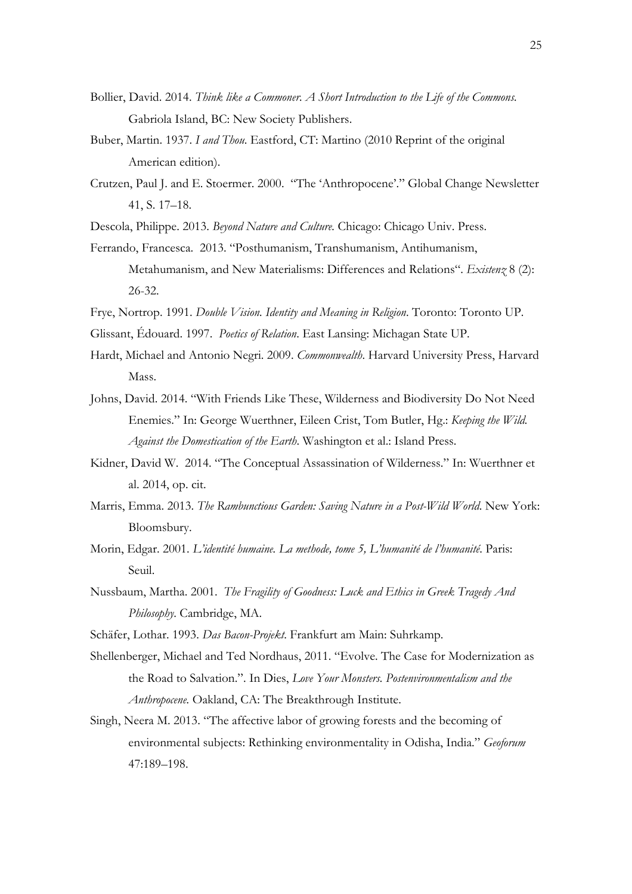- Bollier, David. 2014. *Think like a Commoner. A Short Introduction to the Life of the Commons.*  Gabriola Island, BC: New Society Publishers.
- Buber, Martin. 1937. *I and Thou*. Eastford, CT: Martino (2010 Reprint of the original American edition).
- Crutzen, Paul J. and E. Stoermer. 2000. "The 'Anthropocene'." Global Change Newsletter 41, S. 17–18.
- Descola, Philippe. 2013. *Beyond Nature and Culture.* Chicago: Chicago Univ. Press.
- Ferrando, Francesca. 2013. "Posthumanism, Transhumanism, Antihumanism, Metahumanism, and New Materialisms: Differences and Relations". *Existenz* 8 (2): 26-32.
- Frye, Nortrop. 1991. *Double Vision. Identity and Meaning in Religion*. Toronto: Toronto UP.
- Glissant, Édouard. 1997. *Poetics of Relation*. East Lansing: Michagan State UP.
- Hardt, Michael and Antonio Negri. 2009. *Commonwealth*. Harvard University Press, Harvard Mass.
- Johns, David. 2014. "With Friends Like These, Wilderness and Biodiversity Do Not Need Enemies." In: George Wuerthner, Eileen Crist, Tom Butler, Hg.: *Keeping the Wild. Against the Domestication of the Earth*. Washington et al.: Island Press.
- Kidner, David W. 2014. "The Conceptual Assassination of Wilderness." In: Wuerthner et al. 2014, op. cit.
- Marris, Emma. 2013. *The Rambunctious Garden: Saving Nature in a Post-Wild World*. New York: Bloomsbury.
- Morin, Edgar. 2001. *L'identité humaine. La methode, tome 5, L'humanité de l'humanité*. Paris: Seuil.
- Nussbaum, Martha. 2001. *The Fragility of Goodness: Luck and Ethics in Greek Tragedy And Philosophy*. Cambridge, MA.
- Schäfer, Lothar. 1993. *Das Bacon-Projekt*. Frankfurt am Main: Suhrkamp.
- Shellenberger, Michael and Ted Nordhaus, 2011. "Evolve. The Case for Modernization as the Road to Salvation.". In Dies, *Love Your Monsters. Postenvironmentalism and the Anthropocene.* Oakland, CA: The Breakthrough Institute.
- Singh, Neera M. 2013. "The affective labor of growing forests and the becoming of environmental subjects: Rethinking environmentality in Odisha, India." *Geoforum* 47:189–198.